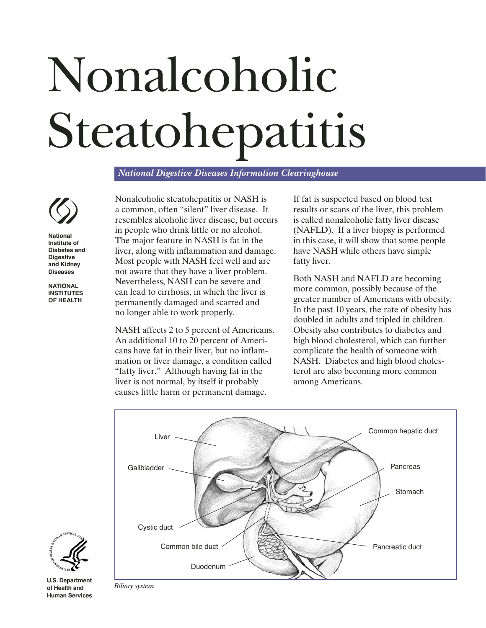# Nonalcoholic Steatohepatitis

*National Digestive Diseases Information Clearinghouse*



**National Institute of Diabetes and Digestive and Kidney Diseases**

**NATIONAL INSTITUTES OF HEALTH**

Nonalcoholic steatohepatitis or NASH is a common, often "silent" liver disease. It resembles alcoholic liver disease, but occurs in people who drink little or no alcohol. The major feature in NASH is fat in the liver, along with inflammation and damage. Most people with NASH feel well and are not aware that they have a liver problem. Nevertheless, NASH can be severe and can lead to cirrhosis, in which the liver is permanently damaged and scarred and no longer able to work properly.

NASH affects 2 to 5 percent of Americans. An additional 10 to 20 percent of Americans have fat in their liver, but no inflammation or liver damage, a condition called "fatty liver." Although having fat in the liver is not normal, by itself it probably causes little harm or permanent damage.

If fat is suspected based on blood test results or scans of the liver, this problem is called nonalcoholic fatty liver disease (NAFLD). If a liver biopsy is performed in this case, it will show that some people have NASH while others have simple fatty liver.

Both NASH and NAFLD are becoming more common, possibly because of the greater number of Americans with obesity. In the past 10 years, the rate of obesity has doubled in adults and tripled in children. Obesity also contributes to diabetes and high blood cholesterol, which can further complicate the health of someone with NASH. Diabetes and high blood cholesterol are also becoming more common among Americans.





**U.S. Department of Health and Human Services**

*Biliary system*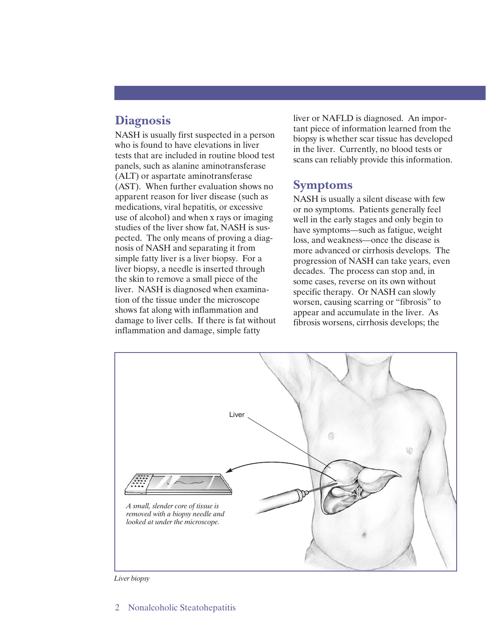# **Diagnosis**

NASH is usually first suspected in a person who is found to have elevations in liver tests that are included in routine blood test panels, such as alanine aminotransferase (ALT) or aspartate aminotransferase (AST). When further evaluation shows no apparent reason for liver disease (such as medications, viral hepatitis, or excessive use of alcohol) and when x rays or imaging studies of the liver show fat, NASH is suspected. The only means of proving a diagnosis of NASH and separating it from simple fatty liver is a liver biopsy. For a liver biopsy, a needle is inserted through the skin to remove a small piece of the liver. NASH is diagnosed when examination of the tissue under the microscope shows fat along with inflammation and damage to liver cells. If there is fat without inflammation and damage, simple fatty

liver or NAFLD is diagnosed. An important piece of information learned from the biopsy is whether scar tissue has developed in the liver. Currently, no blood tests or scans can reliably provide this information.

### **Symptoms**

NASH is usually a silent disease with few or no symptoms. Patients generally feel well in the early stages and only begin to have symptoms—such as fatigue, weight loss, and weakness—once the disease is more advanced or cirrhosis develops. The progression of NASH can take years, even decades. The process can stop and, in some cases, reverse on its own without specific therapy. Or NASH can slowly worsen, causing scarring or "fibrosis" to appear and accumulate in the liver. As fibrosis worsens, cirrhosis develops; the



*Liver biopsy*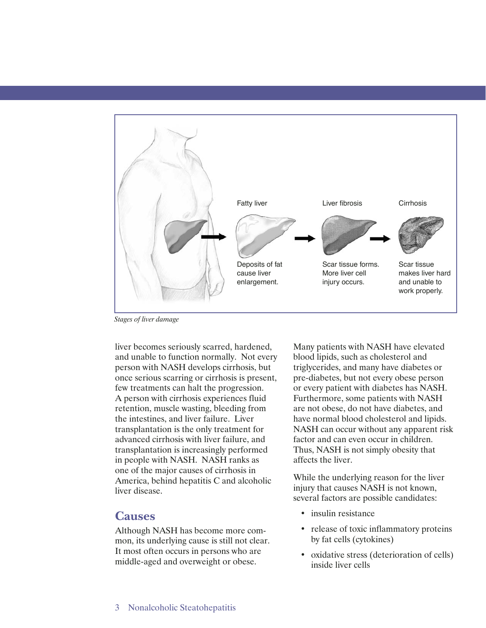

*Stages of liver damage* 

liver becomes seriously scarred, hardened, and unable to function normally. Not every person with NASH develops cirrhosis, but once serious scarring or cirrhosis is present, few treatments can halt the progression. A person with cirrhosis experiences fluid retention, muscle wasting, bleeding from the intestines, and liver failure. Liver transplantation is the only treatment for advanced cirrhosis with liver failure, and transplantation is increasingly performed in people with NASH. NASH ranks as one of the major causes of cirrhosis in America, behind hepatitis C and alcoholic liver disease.

### **Causes**

Although NASH has become more common, its underlying cause is still not clear. It most often occurs in persons who are middle-aged and overweight or obese.

Many patients with NASH have elevated blood lipids, such as cholesterol and triglycerides, and many have diabetes or pre-diabetes, but not every obese person or every patient with diabetes has NASH. Furthermore, some patients with NASH are not obese, do not have diabetes, and have normal blood cholesterol and lipids. NASH can occur without any apparent risk factor and can even occur in children. Thus, NASH is not simply obesity that affects the liver.

While the underlying reason for the liver injury that causes NASH is not known, several factors are possible candidates:

- insulin resistance
- release of toxic inflammatory proteins by fat cells (cytokines)
- oxidative stress (deterioration of cells) inside liver cells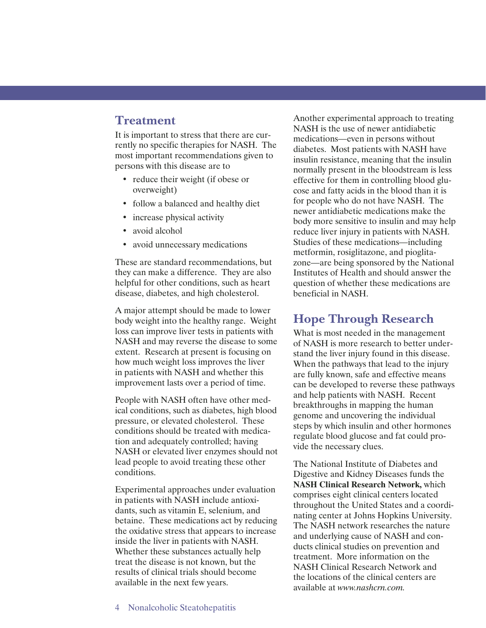## **Treatment**

It is important to stress that there are currently no specific therapies for NASH. The most important recommendations given to persons with this disease are to

- reduce their weight (if obese or overweight)
- follow a balanced and healthy diet
- increase physical activity
- avoid alcohol
- avoid unnecessary medications

These are standard recommendations, but they can make a difference. They are also helpful for other conditions, such as heart disease, diabetes, and high cholesterol.

A major attempt should be made to lower body weight into the healthy range. Weight loss can improve liver tests in patients with NASH and may reverse the disease to some extent. Research at present is focusing on how much weight loss improves the liver in patients with NASH and whether this improvement lasts over a period of time.

People with NASH often have other medical conditions, such as diabetes, high blood pressure, or elevated cholesterol. These conditions should be treated with medication and adequately controlled; having NASH or elevated liver enzymes should not lead people to avoid treating these other conditions.

Experimental approaches under evaluation in patients with NASH include antioxidants, such as vitamin E, selenium, and betaine. These medications act by reducing the oxidative stress that appears to increase inside the liver in patients with NASH. Whether these substances actually help treat the disease is not known, but the results of clinical trials should become available in the next few years.

Another experimental approach to treating NASH is the use of newer antidiabetic medications—even in persons without diabetes. Most patients with NASH have insulin resistance, meaning that the insulin normally present in the bloodstream is less effective for them in controlling blood glucose and fatty acids in the blood than it is for people who do not have NASH. The newer antidiabetic medications make the body more sensitive to insulin and may help reduce liver injury in patients with NASH. Studies of these medications—including metformin, rosiglitazone, and pioglitazone—are being sponsored by the National Institutes of Health and should answer the question of whether these medications are beneficial in NASH.

# **Hope Through Research**

What is most needed in the management of NASH is more research to better understand the liver injury found in this disease. When the pathways that lead to the injury are fully known, safe and effective means can be developed to reverse these pathways and help patients with NASH. Recent breakthroughs in mapping the human genome and uncovering the individual steps by which insulin and other hormones regulate blood glucose and fat could provide the necessary clues.

The National Institute of Diabetes and Digestive and Kidney Diseases funds the **NASH Clinical Research Network,** which comprises eight clinical centers located throughout the United States and a coordinating center at Johns Hopkins University. The NASH network researches the nature and underlying cause of NASH and conducts clinical studies on prevention and treatment. More information on the NASH Clinical Research Network and the locations of the clinical centers are available at *www.nashcrn.com.*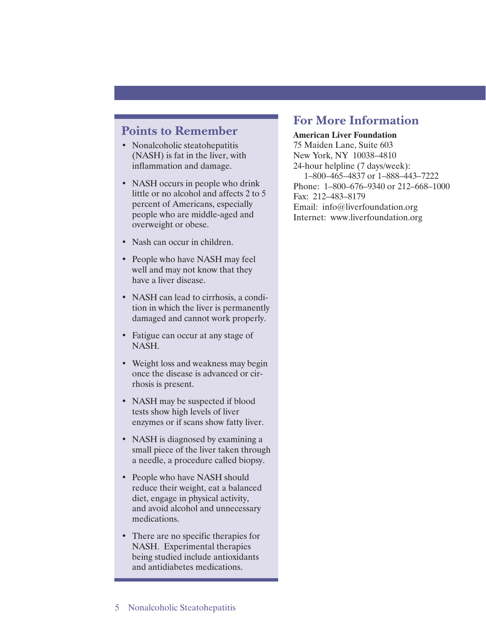## **Points to Remember**

- Nonalcoholic steatohepatitis (NASH) is fat in the liver, with inflammation and damage.
- NASH occurs in people who drink little or no alcohol and affects 2 to 5 percent of Americans, especially people who are middle-aged and overweight or obese.
- Nash can occur in children.
- People who have NASH may feel well and may not know that they have a liver disease.
- NASH can lead to cirrhosis, a condition in which the liver is permanently damaged and cannot work properly.
- Fatigue can occur at any stage of NASH.
- Weight loss and weakness may begin once the disease is advanced or cirrhosis is present.
- NASH may be suspected if blood tests show high levels of liver enzymes or if scans show fatty liver.
- NASH is diagnosed by examining a small piece of the liver taken through a needle, a procedure called biopsy.
- People who have NASH should reduce their weight, eat a balanced diet, engage in physical activity, and avoid alcohol and unnecessary medications.
- There are no specific therapies for NASH. Experimental therapies being studied include antioxidants and antidiabetes medications.

# **For More Information**

#### **American Liver Foundation**

75 Maiden Lane, Suite 603 New York, NY 10038–4810 24-hour helpline (7 days/week): 1–800–465–4837 or 1–888–443–7222 Phone: 1–800–676–9340 or 212–668–1000 Fax: 212–483–8179 Email: info@liverfoundation.org Internet: www.liverfoundation.org

#### 5 Nonalcoholic Steatohepatitis